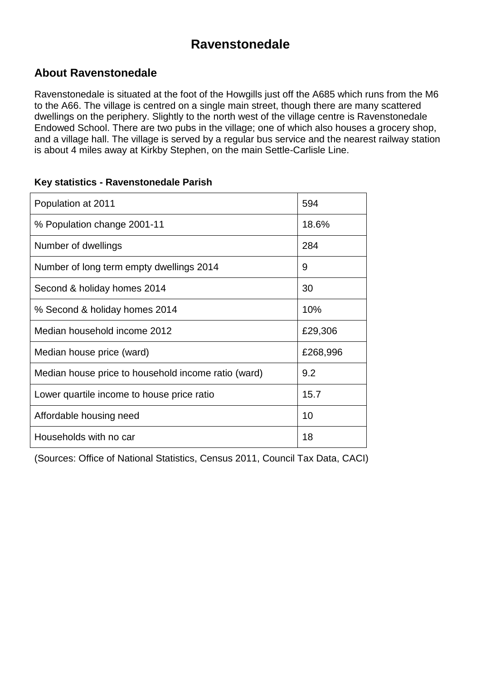### **Ravenstonedale**

#### **About Ravenstonedale**

Ravenstonedale is situated at the foot of the Howgills just off the A685 which runs from the M6 to the A66. The village is centred on a single main street, though there are many scattered dwellings on the periphery. Slightly to the north west of the village centre is Ravenstonedale Endowed School. There are two pubs in the village; one of which also houses a grocery shop, and a village hall. The village is served by a regular bus service and the nearest railway station is about 4 miles away at Kirkby Stephen, on the main Settle-Carlisle Line.

| Population at 2011                                  | 594      |
|-----------------------------------------------------|----------|
| % Population change 2001-11                         | 18.6%    |
| Number of dwellings                                 | 284      |
| Number of long term empty dwellings 2014            | 9        |
| Second & holiday homes 2014                         | 30       |
| % Second & holiday homes 2014                       | 10%      |
| Median household income 2012                        | £29,306  |
| Median house price (ward)                           | £268,996 |
| Median house price to household income ratio (ward) | 9.2      |
| Lower quartile income to house price ratio          | 15.7     |
| Affordable housing need                             | 10       |
| Households with no car                              | 18       |

#### **Key statistics - Ravenstonedale Parish**

(Sources: Office of National Statistics, Census 2011, Council Tax Data, CACI)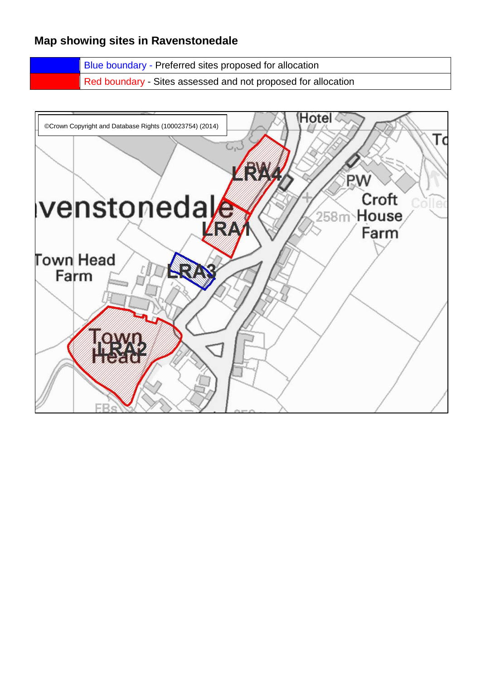#### **Map showing sites in Ravenstonedale**

Blue boundary - Preferred sites proposed for allocation Red boundary - Sites assessed and not proposed for allocation

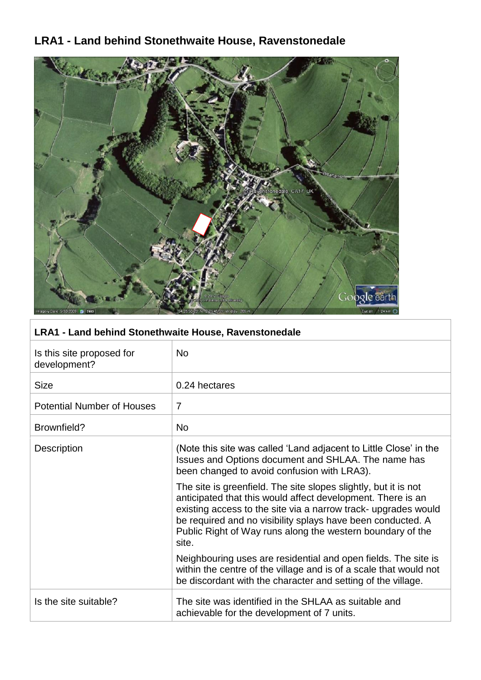### **LRA1 - Land behind Stonethwaite House, Ravenstonedale**



#### **LRA1 - Land behind Stonethwaite House, Ravenstonedale**

| Is this site proposed for<br>development? | <b>No</b>                                                                                                                                                                                                                                                                                                                              |
|-------------------------------------------|----------------------------------------------------------------------------------------------------------------------------------------------------------------------------------------------------------------------------------------------------------------------------------------------------------------------------------------|
| <b>Size</b>                               | 0.24 hectares                                                                                                                                                                                                                                                                                                                          |
| <b>Potential Number of Houses</b>         | 7                                                                                                                                                                                                                                                                                                                                      |
| Brownfield?                               | <b>No</b>                                                                                                                                                                                                                                                                                                                              |
| <b>Description</b>                        | (Note this site was called 'Land adjacent to Little Close' in the<br>Issues and Options document and SHLAA. The name has<br>been changed to avoid confusion with LRA3).                                                                                                                                                                |
|                                           | The site is greenfield. The site slopes slightly, but it is not<br>anticipated that this would affect development. There is an<br>existing access to the site via a narrow track- upgrades would<br>be required and no visibility splays have been conducted. A<br>Public Right of Way runs along the western boundary of the<br>site. |
|                                           | Neighbouring uses are residential and open fields. The site is<br>within the centre of the village and is of a scale that would not<br>be discordant with the character and setting of the village.                                                                                                                                    |
| Is the site suitable?                     | The site was identified in the SHLAA as suitable and<br>achievable for the development of 7 units.                                                                                                                                                                                                                                     |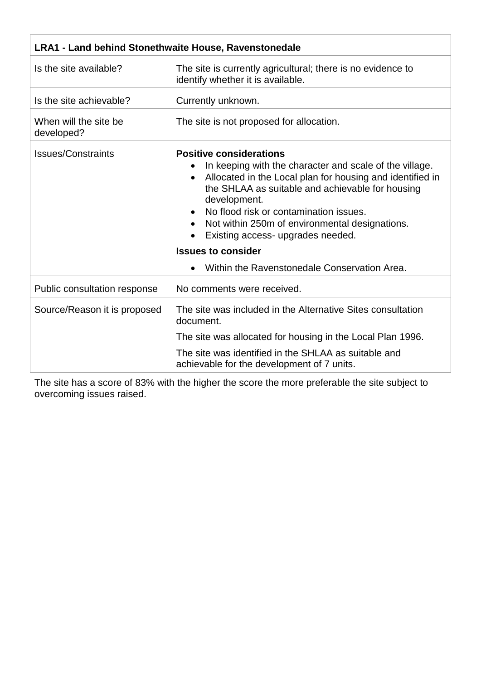| <b>LRA1 - Land behind Stonethwaite House, Ravenstonedale</b> |                                                                                                                                                                                                                                                                                                                                                                                                                                                                                 |
|--------------------------------------------------------------|---------------------------------------------------------------------------------------------------------------------------------------------------------------------------------------------------------------------------------------------------------------------------------------------------------------------------------------------------------------------------------------------------------------------------------------------------------------------------------|
| Is the site available?                                       | The site is currently agricultural; there is no evidence to<br>identify whether it is available.                                                                                                                                                                                                                                                                                                                                                                                |
| Is the site achievable?                                      | Currently unknown.                                                                                                                                                                                                                                                                                                                                                                                                                                                              |
| When will the site be<br>developed?                          | The site is not proposed for allocation.                                                                                                                                                                                                                                                                                                                                                                                                                                        |
| <b>Issues/Constraints</b>                                    | <b>Positive considerations</b><br>In keeping with the character and scale of the village.<br>Allocated in the Local plan for housing and identified in<br>$\bullet$<br>the SHLAA as suitable and achievable for housing<br>development.<br>No flood risk or contamination issues.<br>Not within 250m of environmental designations.<br>Existing access- upgrades needed.<br>$\bullet$<br><b>Issues to consider</b><br>Within the Ravenstonedale Conservation Area.<br>$\bullet$ |
| Public consultation response                                 | No comments were received.                                                                                                                                                                                                                                                                                                                                                                                                                                                      |
| Source/Reason it is proposed                                 | The site was included in the Alternative Sites consultation<br>document.                                                                                                                                                                                                                                                                                                                                                                                                        |
|                                                              | The site was allocated for housing in the Local Plan 1996.                                                                                                                                                                                                                                                                                                                                                                                                                      |
|                                                              | The site was identified in the SHLAA as suitable and<br>achievable for the development of 7 units.                                                                                                                                                                                                                                                                                                                                                                              |

The site has a score of 83% with the higher the score the more preferable the site subject to overcoming issues raised.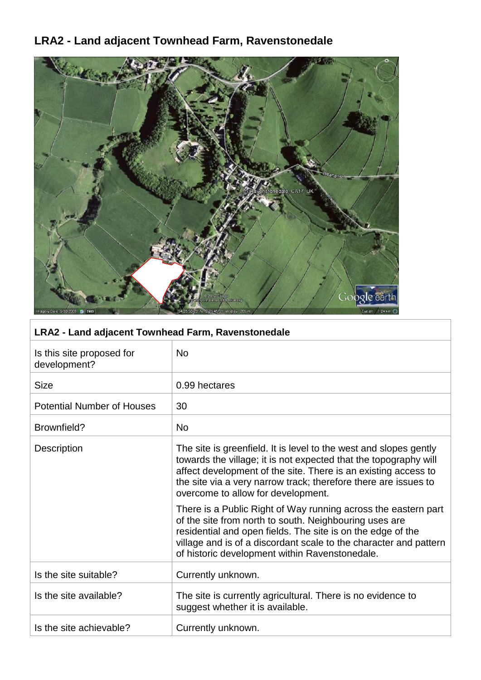# **LRA2 - Land adjacent Townhead Farm, Ravenstonedale**



### **LRA2 - Land adjacent Townhead Farm, Ravenstonedale**

| Is this site proposed for<br>development? | <b>No</b>                                                                                                                                                                                                                                                                                                        |
|-------------------------------------------|------------------------------------------------------------------------------------------------------------------------------------------------------------------------------------------------------------------------------------------------------------------------------------------------------------------|
| <b>Size</b>                               | 0.99 hectares                                                                                                                                                                                                                                                                                                    |
| <b>Potential Number of Houses</b>         | 30                                                                                                                                                                                                                                                                                                               |
| Brownfield?                               | <b>No</b>                                                                                                                                                                                                                                                                                                        |
| <b>Description</b>                        | The site is greenfield. It is level to the west and slopes gently<br>towards the village; it is not expected that the topography will<br>affect development of the site. There is an existing access to<br>the site via a very narrow track; therefore there are issues to<br>overcome to allow for development. |
|                                           | There is a Public Right of Way running across the eastern part<br>of the site from north to south. Neighbouring uses are<br>residential and open fields. The site is on the edge of the<br>village and is of a discordant scale to the character and pattern<br>of historic development within Ravenstonedale.   |
| Is the site suitable?                     | Currently unknown.                                                                                                                                                                                                                                                                                               |
| Is the site available?                    | The site is currently agricultural. There is no evidence to<br>suggest whether it is available.                                                                                                                                                                                                                  |
| Is the site achievable?                   | Currently unknown.                                                                                                                                                                                                                                                                                               |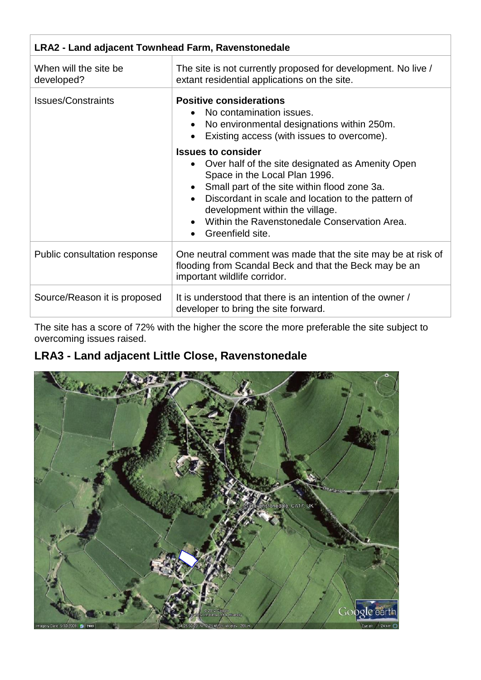| LRA2 - Land adjacent Townhead Farm, Ravenstonedale |                                                                                                                                                                                                                                                                                                                                          |
|----------------------------------------------------|------------------------------------------------------------------------------------------------------------------------------------------------------------------------------------------------------------------------------------------------------------------------------------------------------------------------------------------|
| When will the site be<br>developed?                | The site is not currently proposed for development. No live /<br>extant residential applications on the site.                                                                                                                                                                                                                            |
| <b>Issues/Constraints</b>                          | <b>Positive considerations</b><br>No contamination issues.<br>No environmental designations within 250m.<br>Existing access (with issues to overcome).                                                                                                                                                                                   |
|                                                    | <b>Issues to consider</b><br>Over half of the site designated as Amenity Open<br>$\bullet$<br>Space in the Local Plan 1996.<br>Small part of the site within flood zone 3a.<br>Discordant in scale and location to the pattern of<br>development within the village.<br>Within the Ravenstonedale Conservation Area.<br>Greenfield site. |
| Public consultation response                       | One neutral comment was made that the site may be at risk of<br>flooding from Scandal Beck and that the Beck may be an<br>important wildlife corridor.                                                                                                                                                                                   |
| Source/Reason it is proposed                       | It is understood that there is an intention of the owner /<br>developer to bring the site forward.                                                                                                                                                                                                                                       |

The site has a score of 72% with the higher the score the more preferable the site subject to overcoming issues raised.

# **LRA3 - Land adjacent Little Close, Ravenstonedale**

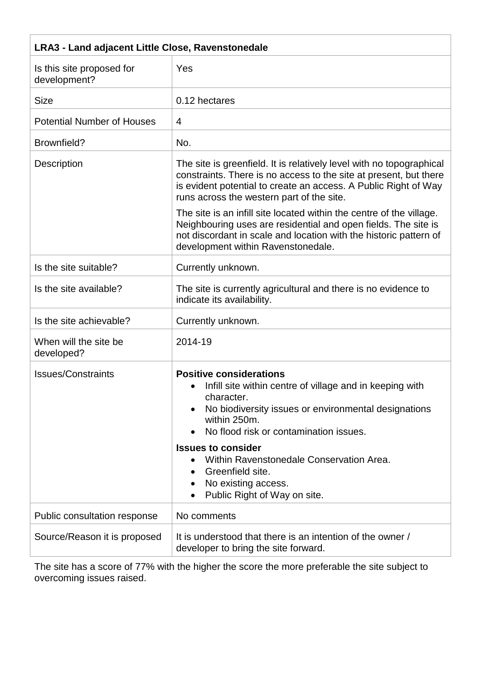| <b>LRA3 - Land adjacent Little Close, Ravenstonedale</b> |                                                                                                                                                                                                                                                           |
|----------------------------------------------------------|-----------------------------------------------------------------------------------------------------------------------------------------------------------------------------------------------------------------------------------------------------------|
| Is this site proposed for<br>development?                | Yes                                                                                                                                                                                                                                                       |
| <b>Size</b>                                              | 0.12 hectares                                                                                                                                                                                                                                             |
| <b>Potential Number of Houses</b>                        | 4                                                                                                                                                                                                                                                         |
| Brownfield?                                              | No.                                                                                                                                                                                                                                                       |
| Description                                              | The site is greenfield. It is relatively level with no topographical<br>constraints. There is no access to the site at present, but there<br>is evident potential to create an access. A Public Right of Way<br>runs across the western part of the site. |
|                                                          | The site is an infill site located within the centre of the village.<br>Neighbouring uses are residential and open fields. The site is<br>not discordant in scale and location with the historic pattern of<br>development within Ravenstonedale.         |
| Is the site suitable?                                    | Currently unknown.                                                                                                                                                                                                                                        |
| Is the site available?                                   | The site is currently agricultural and there is no evidence to<br>indicate its availability.                                                                                                                                                              |
| Is the site achievable?                                  | Currently unknown.                                                                                                                                                                                                                                        |
| When will the site be<br>developed?                      | 2014-19                                                                                                                                                                                                                                                   |
| <b>Issues/Constraints</b>                                | <b>Positive considerations</b><br>Infill site within centre of village and in keeping with<br>character.<br>No biodiversity issues or environmental designations<br>within 250m.<br>No flood risk or contamination issues.<br><b>Issues to consider</b>   |
|                                                          | Within Ravenstonedale Conservation Area.<br>Greenfield site.<br>No existing access.<br>Public Right of Way on site.                                                                                                                                       |
| Public consultation response                             | No comments                                                                                                                                                                                                                                               |
| Source/Reason it is proposed                             | It is understood that there is an intention of the owner /<br>developer to bring the site forward.                                                                                                                                                        |

The site has a score of 77% with the higher the score the more preferable the site subject to overcoming issues raised.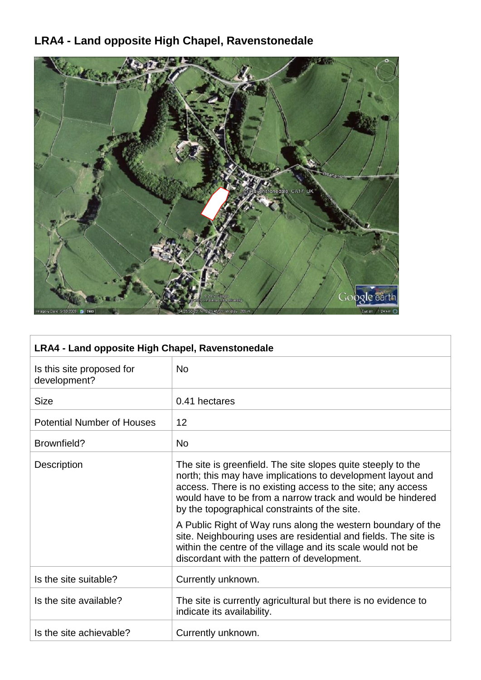# **LRA4 - Land opposite High Chapel, Ravenstonedale**



| LRA4 - Land opposite High Chapel, Ravenstonedale |                                                                                                                                                                                                                                                                                                                                                                                                                                                                                                                                                            |
|--------------------------------------------------|------------------------------------------------------------------------------------------------------------------------------------------------------------------------------------------------------------------------------------------------------------------------------------------------------------------------------------------------------------------------------------------------------------------------------------------------------------------------------------------------------------------------------------------------------------|
| Is this site proposed for<br>development?        | <b>No</b>                                                                                                                                                                                                                                                                                                                                                                                                                                                                                                                                                  |
| <b>Size</b>                                      | 0.41 hectares                                                                                                                                                                                                                                                                                                                                                                                                                                                                                                                                              |
| <b>Potential Number of Houses</b>                | 12                                                                                                                                                                                                                                                                                                                                                                                                                                                                                                                                                         |
| Brownfield?                                      | <b>No</b>                                                                                                                                                                                                                                                                                                                                                                                                                                                                                                                                                  |
| <b>Description</b>                               | The site is greenfield. The site slopes quite steeply to the<br>north; this may have implications to development layout and<br>access. There is no existing access to the site; any access<br>would have to be from a narrow track and would be hindered<br>by the topographical constraints of the site.<br>A Public Right of Way runs along the western boundary of the<br>site. Neighbouring uses are residential and fields. The site is<br>within the centre of the village and its scale would not be<br>discordant with the pattern of development. |
| Is the site suitable?                            | Currently unknown.                                                                                                                                                                                                                                                                                                                                                                                                                                                                                                                                         |
| Is the site available?                           | The site is currently agricultural but there is no evidence to<br>indicate its availability.                                                                                                                                                                                                                                                                                                                                                                                                                                                               |
| Is the site achievable?                          | Currently unknown.                                                                                                                                                                                                                                                                                                                                                                                                                                                                                                                                         |